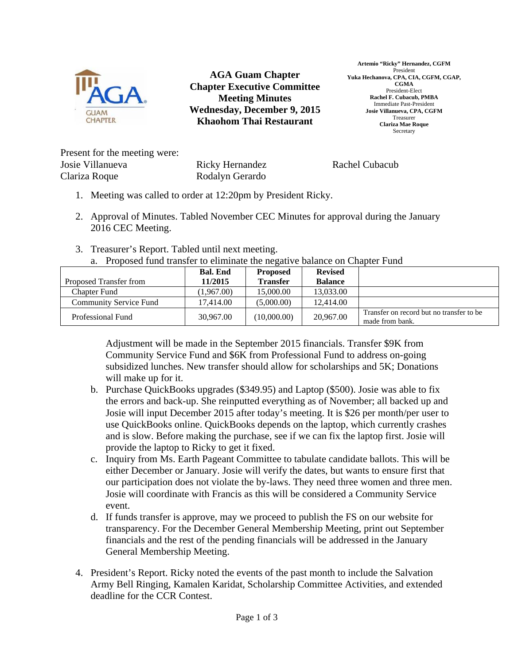

**AGA Guam Chapter Chapter Executive Committee Meeting Minutes Wednesday, December 9, 2015 Khaohom Thai Restaurant** 

**Artemio "Ricky" Hernandez, CGFM**  President **Yuka Hechanova, CPA, CIA, CGFM, CGAP, CGMA**  President-Elect **Rachel F. Cubacub, PMBA**  Immediate Past-President **Josie Villanueva, CPA, CGFM**  Treasurer **Clariza Mae Roque**  Secretary

Present for the meeting were: Josie Villanueva Clariza Roque

Ricky Hernandez Rodalyn Gerardo

Rachel Cubacub

- 1. Meeting was called to order at 12:20pm by President Ricky.
- 2. Approval of Minutes. Tabled November CEC Minutes for approval during the January 2016 CEC Meeting.
- 3. Treasurer's Report. Tabled until next meeting. a. Proposed fund transfer to eliminate the negative balance on Chapter Fund

| Proposed Transfer from        | <b>Bal. End</b><br>11/2015 | <b>Proposed</b><br><b>Transfer</b> | <b>Revised</b><br><b>Balance</b> |                                                              |
|-------------------------------|----------------------------|------------------------------------|----------------------------------|--------------------------------------------------------------|
| <b>Chapter Fund</b>           | (1,967.00)                 | 15,000.00                          | 13,033.00                        |                                                              |
| <b>Community Service Fund</b> | 17.414.00                  | (5,000.00)                         | 12,414.00                        |                                                              |
| Professional Fund             | 30,967.00                  | (10,000.00)                        | 20,967.00                        | Transfer on record but no transfer to be.<br>made from bank. |

Adjustment will be made in the September 2015 financials. Transfer \$9K from Community Service Fund and \$6K from Professional Fund to address on-going subsidized lunches. New transfer should allow for scholarships and 5K; Donations will make up for it.

- b. Purchase QuickBooks upgrades (\$349.95) and Laptop (\$500). Josie was able to fix the errors and back-up. She reinputted everything as of November; all backed up and Josie will input December 2015 after today's meeting. It is \$26 per month/per user to use QuickBooks online. QuickBooks depends on the laptop, which currently crashes and is slow. Before making the purchase, see if we can fix the laptop first. Josie will provide the laptop to Ricky to get it fixed.
- c. Inquiry from Ms. Earth Pageant Committee to tabulate candidate ballots. This will be either December or January. Josie will verify the dates, but wants to ensure first that our participation does not violate the by-laws. They need three women and three men. Josie will coordinate with Francis as this will be considered a Community Service event.
- d. If funds transfer is approve, may we proceed to publish the FS on our website for transparency. For the December General Membership Meeting, print out September financials and the rest of the pending financials will be addressed in the January General Membership Meeting.
- 4. President's Report. Ricky noted the events of the past month to include the Salvation Army Bell Ringing, Kamalen Karidat, Scholarship Committee Activities, and extended deadline for the CCR Contest.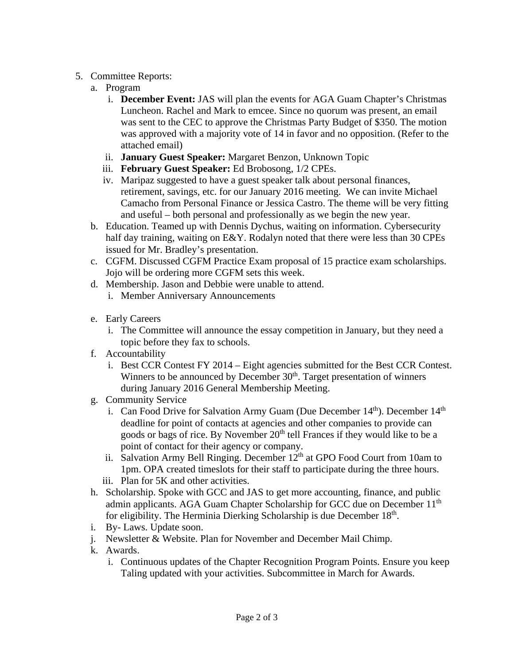## 5. Committee Reports:

- a. Program
	- i. **December Event:** JAS will plan the events for AGA Guam Chapter's Christmas Luncheon. Rachel and Mark to emcee. Since no quorum was present, an email was sent to the CEC to approve the Christmas Party Budget of \$350. The motion was approved with a majority vote of 14 in favor and no opposition. (Refer to the attached email)
	- ii. **January Guest Speaker:** Margaret Benzon, Unknown Topic
	- iii. **February Guest Speaker:** Ed Brobosong, 1/2 CPEs.
	- iv. Maripaz suggested to have a guest speaker talk about personal finances, retirement, savings, etc. for our January 2016 meeting. We can invite Michael Camacho from Personal Finance or Jessica Castro. The theme will be very fitting and useful – both personal and professionally as we begin the new year.
- b. Education. Teamed up with Dennis Dychus, waiting on information. Cybersecurity half day training, waiting on E&Y. Rodalyn noted that there were less than 30 CPEs issued for Mr. Bradley's presentation.
- c. CGFM. Discussed CGFM Practice Exam proposal of 15 practice exam scholarships. Jojo will be ordering more CGFM sets this week.
- d. Membership. Jason and Debbie were unable to attend.
	- i. Member Anniversary Announcements
- e. Early Careers
	- i. The Committee will announce the essay competition in January, but they need a topic before they fax to schools.
- f. Accountability
	- i. Best CCR Contest FY 2014 Eight agencies submitted for the Best CCR Contest. Winners to be announced by December  $30<sup>th</sup>$ . Target presentation of winners during January 2016 General Membership Meeting.
- g. Community Service
	- i. Can Food Drive for Salvation Army Guam (Due December  $14<sup>th</sup>$ ). December  $14<sup>th</sup>$ deadline for point of contacts at agencies and other companies to provide can goods or bags of rice. By November 20<sup>th</sup> tell Frances if they would like to be a point of contact for their agency or company.
	- ii. Salvation Army Bell Ringing. December  $12<sup>th</sup>$  at GPO Food Court from 10am to 1pm. OPA created timeslots for their staff to participate during the three hours.
	- iii. Plan for 5K and other activities.
- h. Scholarship. Spoke with GCC and JAS to get more accounting, finance, and public admin applicants. AGA Guam Chapter Scholarship for GCC due on December 11<sup>th</sup> for eligibility. The Herminia Dierking Scholarship is due December  $18<sup>th</sup>$ .
- i. By- Laws. Update soon.
- j. Newsletter & Website. Plan for November and December Mail Chimp.
- k. Awards.
	- i. Continuous updates of the Chapter Recognition Program Points. Ensure you keep Taling updated with your activities. Subcommittee in March for Awards.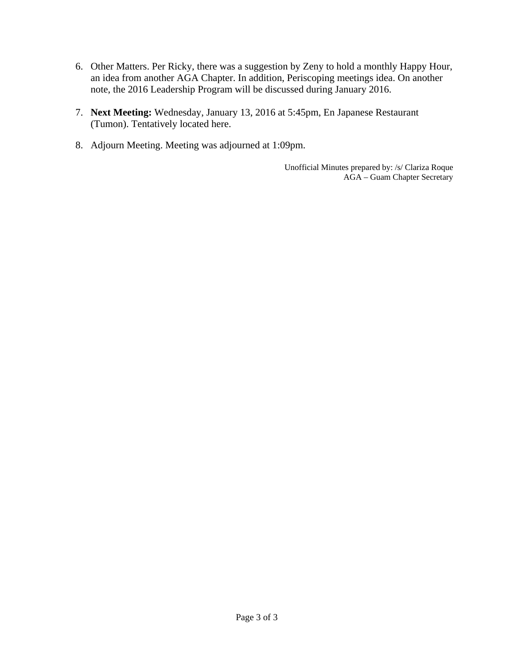- 6. Other Matters. Per Ricky, there was a suggestion by Zeny to hold a monthly Happy Hour, an idea from another AGA Chapter. In addition, Periscoping meetings idea. On another note, the 2016 Leadership Program will be discussed during January 2016.
- 7. **Next Meeting:** Wednesday, January 13, 2016 at 5:45pm, En Japanese Restaurant (Tumon). Tentatively located here.
- 8. Adjourn Meeting. Meeting was adjourned at 1:09pm.

Unofficial Minutes prepared by: /s/ Clariza Roque AGA – Guam Chapter Secretary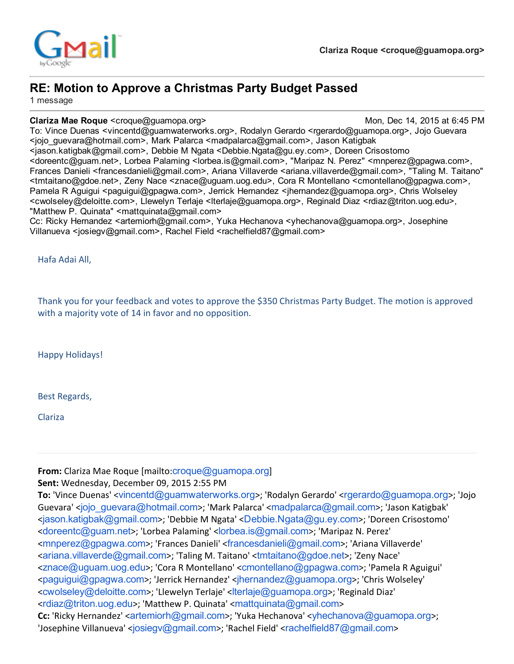



# RE: Motion to Approve a Christmas Party Budget Passed

1 message

Clariza Mae Roque <croque@guamopa.org> Mon, Dec 14, 2015 at 6:45 PM

To: Vince Duenas <vincentd@guamwaterworks.org>, Rodalyn Gerardo <rgerardo@guamopa.org>, Jojo Guevara <jojo\_guevara@hotmail.com>, Mark Palarca <madpalarca@gmail.com>, Jason Katigbak <jason.katigbak@gmail.com>, Debbie M Ngata <Debbie.Ngata@gu.ey.com>, Doreen Crisostomo <doreentc@guam.net>, Lorbea Palaming <lorbea.is@gmail.com>, "Maripaz N. Perez" <mnperez@gpagwa.com>, Frances Danieli <francesdanieli@gmail.com>, Ariana Villaverde <ariana.villaverde@gmail.com>, "Taling M. Taitano" <tmtaitano@gdoe.net>, Zeny Nace <znace@uguam.uog.edu>, Cora R Montellano <cmontellano@gpagwa.com>, Pamela R Aguigui <paguigui@gpagwa.com>, Jerrick Hernandez <jhernandez@guamopa.org>, Chris Wolseley <cwolseley@deloitte.com>, Llewelyn Terlaje <lterlaje@guamopa.org>, Reginald Diaz <rdiaz@triton.uog.edu>, "Matthew P. Quinata" <mattquinata@gmail.com>

Cc: Ricky Hernandez <artemiorh@gmail.com>, Yuka Hechanova <yhechanova@guamopa.org>, Josephine Villanueva <josiegv@gmail.com>, Rachel Field <rachelfield87@gmail.com>

Hafa Adai All,

Thank you for your feedback and votes to approve the \$350 Christmas Party Budget. The motion is approved with a majority vote of 14 in favor and no opposition.

Happy Holidays!

Best Regards,

Clariza

From: Clariza Mae Roque [mailto: croque@ quamopa.org]

Sent: Wednesday, December 09, 2015 2:55 PM

To: 'Vince Duenas' <[vincentd@guamwaterworks.org](mailto:vincentd@guamwaterworks.org)>; 'Rodalyn Gerardo' <[rgerardo@guamopa.org](mailto:rgerardo@guamopa.org)>; 'Jojo Guevara' <[jojo\\_guevara@hotmail.com](mailto:jojo_guevara@hotmail.com)>; 'Mark Palarca' <[madpalarca@gmail.com](mailto:madpalarca@gmail.com)>; 'Jason Katigbak' <[jason.katigbak@gmail.com](mailto:jason.katigbak@gmail.com)>; 'Debbie M Ngata' <[Debbie.Ngata@gu.ey.com](mailto:Debbie.Ngata@gu.ey.com)>; 'Doreen Crisostomo' <[doreentc@guam.net](mailto:doreentc@guam.net)>; 'Lorbea Palaming' <[lorbea.is@gmail.com](mailto:lorbea.is@gmail.com)>; 'Maripaz N. Perez' <[mnperez@gpagwa.com](mailto:mnperez@gpagwa.com)>; 'Frances Danieli' <[francesdanieli@gmail.com](mailto:francesdanieli@gmail.com)>; 'Ariana Villaverde' <[ariana.villaverde@gmail.com](mailto:ariana.villaverde@gmail.com)>; 'Taling M. Taitano' <[tmtaitano@gdoe.net](mailto:tmtaitano@gdoe.net)>; 'Zeny Nace' <[znace@uguam.uog.edu](mailto:znace@uguam.uog.edu)>; 'Cora R Montellano' <[cmontellano@gpagwa.com](mailto:cmontellano@gpagwa.com)>; 'Pamela R Aguigui' <[paguigui@gpagwa.com](mailto:paguigui@gpagwa.com)>; 'Jerrick Hernandez' <[jhernandez@guamopa.org](mailto:jhernandez@guamopa.org)>; 'Chris Wolseley' <[cwolseley@deloitte.com](mailto:cwolseley@deloitte.com)>; 'Llewelyn Terlaje' <[lterlaje@guamopa.org](mailto:lterlaje@guamopa.org)>; 'Reginald Diaz' <[rdiaz@triton.uog.edu](mailto:rdiaz@triton.uog.edu)>; 'Matthew P. Quinata' <[mattquinata@gmail.com](mailto:mattquinata@gmail.com)> Cc: 'Ricky Hernandez' <[artemiorh@gmail.com](mailto:artemiorh@gmail.com)>; 'Yuka Hechanova' <[yhechanova@guamopa.org](mailto:yhechanova@guamopa.org)>; 'Josephine Villanueva' <[josiegv@gmail.com](mailto:josiegv@gmail.com)>; 'Rachel Field' <[rachelfield87@gmail.com](mailto:rachelfield87@gmail.com)>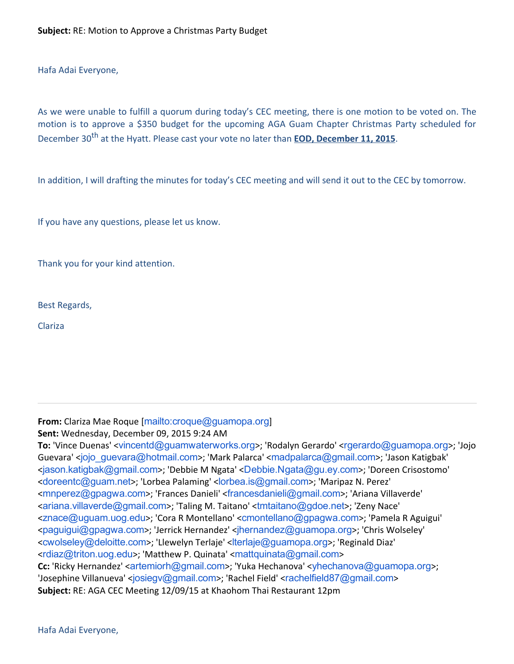Hafa Adai Everyone,

As we were unable to fulfill a quorum during today's CEC meeting, there is one motion to be voted on. The motion is to approve a \$350 budget for the upcoming AGA Guam Chapter Christmas Party scheduled for December 30<sup>th</sup> at the Hyatt. Please cast your vote no later than **EOD, December 11, 2015**.

In addition, I will drafting the minutes for today's CEC meeting and will send it out to the CEC by tomorrow.

If you have any questions, please let us know.

Thank you for your kind attention.

Best Regards,

Clariza

#### From: Clariza Mae Roque [<mailto:croque@guamopa.org>] Sent: Wednesday, December 09, 2015 9:24 AM

To: 'Vince Duenas' <[vincentd@guamwaterworks.org](mailto:vincentd@guamwaterworks.org)>; 'Rodalyn Gerardo' <[rgerardo@guamopa.org](mailto:rgerardo@guamopa.org)>; 'Jojo Guevara' <[jojo\\_guevara@hotmail.com](mailto:jojo_guevara@hotmail.com)>; 'Mark Palarca' <[madpalarca@gmail.com](mailto:madpalarca@gmail.com)>; 'Jason Katigbak' <[jason.katigbak@gmail.com](mailto:jason.katigbak@gmail.com)>; 'Debbie M Ngata' <[Debbie.Ngata@gu.ey.com](mailto:Debbie.Ngata@gu.ey.com)>; 'Doreen Crisostomo' <[doreentc@guam.net](mailto:doreentc@guam.net)>; 'Lorbea Palaming' <[lorbea.is@gmail.com](mailto:lorbea.is@gmail.com)>; 'Maripaz N. Perez' <[mnperez@gpagwa.com](mailto:mnperez@gpagwa.com)>; 'Frances Danieli' <[francesdanieli@gmail.com](mailto:francesdanieli@gmail.com)>; 'Ariana Villaverde' <[ariana.villaverde@gmail.com](mailto:ariana.villaverde@gmail.com)>; 'Taling M. Taitano' <[tmtaitano@gdoe.net](mailto:tmtaitano@gdoe.net)>; 'Zeny Nace' <[znace@uguam.uog.edu](mailto:znace@uguam.uog.edu)>; 'Cora R Montellano' <[cmontellano@gpagwa.com](mailto:cmontellano@gpagwa.com)>; 'Pamela R Aguigui' <[paguigui@gpagwa.com](mailto:paguigui@gpagwa.com)>; 'Jerrick Hernandez' <[jhernandez@guamopa.org](mailto:jhernandez@guamopa.org)>; 'Chris Wolseley' <[cwolseley@deloitte.com](mailto:cwolseley@deloitte.com)>; 'Llewelyn Terlaje' <[lterlaje@guamopa.org](mailto:lterlaje@guamopa.org)>; 'Reginald Diaz' <[rdiaz@triton.uog.edu](mailto:rdiaz@triton.uog.edu)>; 'Matthew P. Quinata' <[mattquinata@gmail.com](mailto:mattquinata@gmail.com)> Cc: 'Ricky Hernandez' <[artemiorh@gmail.com](mailto:artemiorh@gmail.com)>; 'Yuka Hechanova' <[yhechanova@guamopa.org](mailto:yhechanova@guamopa.org)>; 'Josephine Villanueva' <[josiegv@gmail.com](mailto:josiegv@gmail.com)>; 'Rachel Field' <[rachelfield87@gmail.com](mailto:rachelfield87@gmail.com)> Subject: RE: AGA CEC Meeting 12/09/15 at Khaohom Thai Restaurant 12pm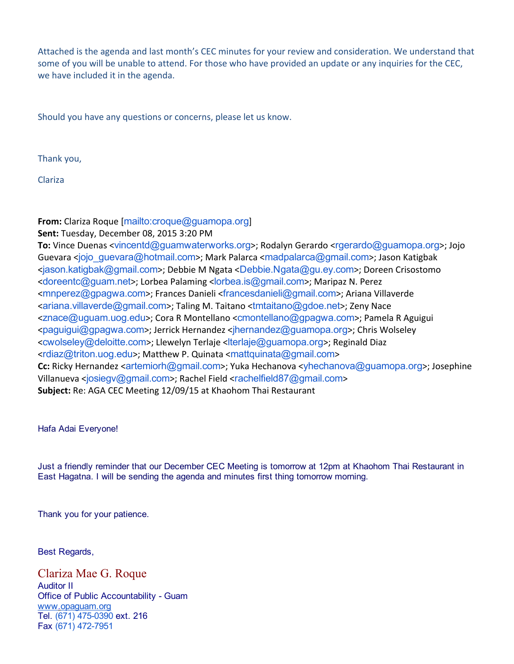Attached is the agenda and last month's CEC minutes for your review and consideration. We understand that some of you will be unable to attend. For those who have provided an update or any inquiries for the CEC, we have included it in the agenda.

Should you have any questions or concerns, please let us know.

Thank you,

Clariza

### From: Clariza Roque [<mailto:croque@guamopa.org>]

Sent: Tuesday, December 08, 2015 3:20 PM

To: Vince Duenas <[vincentd@guamwaterworks.org](mailto:vincentd@guamwaterworks.org)>; Rodalyn Gerardo <[rgerardo@guamopa.org](mailto:rgerardo@guamopa.org)>; Jojo Guevara <[jojo\\_guevara@hotmail.com](mailto:jojo_guevara@hotmail.com)>; Mark Palarca <[madpalarca@gmail.com](mailto:madpalarca@gmail.com)>; Jason Katigbak <[jason.katigbak@gmail.com](mailto:jason.katigbak@gmail.com)>; Debbie M Ngata <[Debbie.Ngata@gu.ey.com](mailto:Debbie.Ngata@gu.ey.com)>; Doreen Crisostomo <[doreentc@guam.net](mailto:doreentc@guam.net)>; Lorbea Palaming <[lorbea.is@gmail.com](mailto:lorbea.is@gmail.com)>; Maripaz N. Perez <[mnperez@gpagwa.com](mailto:mnperez@gpagwa.com)>; Frances Danieli <[francesdanieli@gmail.com](mailto:francesdanieli@gmail.com)>; Ariana Villaverde <[ariana.villaverde@gmail.com](mailto:ariana.villaverde@gmail.com)>; Taling M. Taitano <[tmtaitano@gdoe.net](mailto:tmtaitano@gdoe.net)>; Zeny Nace <[znace@uguam.uog.edu](mailto:znace@uguam.uog.edu)>; Cora R Montellano <[cmontellano@gpagwa.com](mailto:cmontellano@gpagwa.com)>; Pamela R Aguigui <[paguigui@gpagwa.com](mailto:paguigui@gpagwa.com)>; Jerrick Hernandez <[jhernandez@guamopa.org](mailto:jhernandez@guamopa.org)>; Chris Wolseley <[cwolseley@deloitte.com](mailto:cwolseley@deloitte.com)>; Llewelyn Terlaje <[lterlaje@guamopa.org](mailto:lterlaje@guamopa.org)>; Reginald Diaz <[rdiaz@triton.uog.edu](mailto:rdiaz@triton.uog.edu)>; Matthew P. Quinata <[mattquinata@gmail.com](mailto:mattquinata@gmail.com)> Cc: Ricky Hernandez <[artemiorh@gmail.com](mailto:artemiorh@gmail.com)>; Yuka Hechanova <[yhechanova@guamopa.org](mailto:yhechanova@guamopa.org)>; Josephine Villanueva <[josiegv@gmail.com](mailto:josiegv@gmail.com)>; Rachel Field <[rachelfield87@gmail.com](mailto:rachelfield87@gmail.com)> Subject: Re: AGA CEC Meeting 12/09/15 at Khaohom Thai Restaurant

Hafa Adai Everyone!

Just a friendly reminder that our December CEC Meeting is tomorrow at 12pm at Khaohom Thai Restaurant in East Hagatna. I will be sending the agenda and minutes first thing tomorrow morning.

Thank you for your patience.

Best Regards,

Clariza Mae G. Roque Auditor II Office of Public Accountability - Guam [www](http://www.guamopa.com/)[.opaguam.org](http://opaguam.org/) Tel. (671) 475-0390 ext. 216 Fax (671) 472-7951